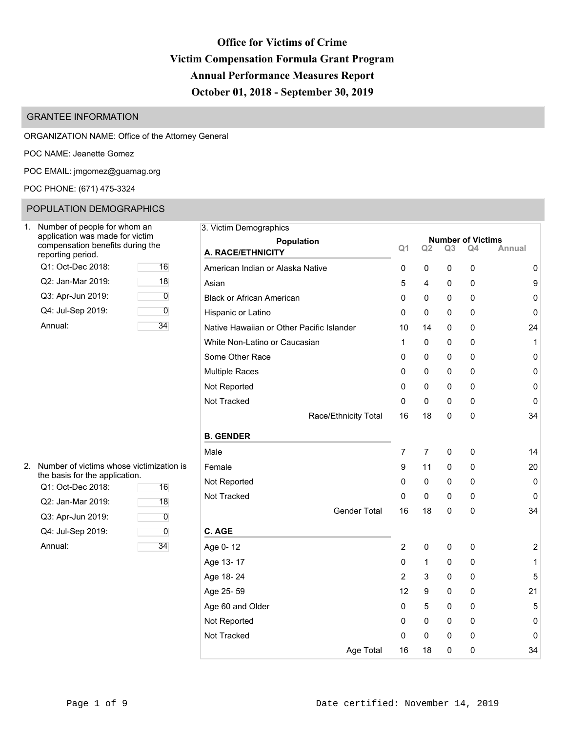# **Office for Victims of Crime Victim Compensation Formula Grant Program Annual Performance Measures Report October 01, 2018 - September 30, 2019**

## GRANTEE INFORMATION

ORGANIZATION NAME: Office of the Attorney General

POC NAME: Jeanette Gomez

POC EMAIL: [jmgomez@guamag.org](mailto:jmgomez@guamag.org)

POC PHONE: (671) 475-3324

# POPULATION DEMOGRAPHICS

| Number of people for whom an<br>application was made for victim<br>compensation benefits during the<br>reporting period. |    |
|--------------------------------------------------------------------------------------------------------------------------|----|
| Q1: Oct-Dec 2018:                                                                                                        | 16 |
| Q2: Jan-Mar 2019:                                                                                                        | 18 |
| Q3: Apr-Jun 2019:                                                                                                        | n  |
| Q4: Jul-Sep 2019:                                                                                                        |    |
| Annual:                                                                                                                  |    |

| Number of people for whom an                                        | 3. Victim Demographics                    |                |    |                |                                |           |
|---------------------------------------------------------------------|-------------------------------------------|----------------|----|----------------|--------------------------------|-----------|
| application was made for victim<br>compensation benefits during the | Population                                | Q <sub>1</sub> | Q2 | Q <sub>3</sub> | <b>Number of Victims</b><br>Q4 | Annual    |
| eporting period.                                                    | A. RACE/ETHNICITY                         |                |    |                |                                |           |
| Q1: Oct-Dec 2018:<br>16                                             | American Indian or Alaska Native          | 0              | 0  | 0              | 0                              | 0         |
| Q2: Jan-Mar 2019:<br>18                                             | Asian                                     | 5              | 4  | 0              | 0                              | 9         |
| Q3: Apr-Jun 2019:<br>$\overline{0}$                                 | <b>Black or African American</b>          | 0              | 0  | 0              | 0                              | 0         |
| Q4: Jul-Sep 2019:<br>0                                              | Hispanic or Latino                        | 0              | 0  | 0              | 0                              | 0         |
| 34<br>Annual:                                                       | Native Hawaiian or Other Pacific Islander | 10             | 14 | 0              | 0                              | 24        |
|                                                                     | White Non-Latino or Caucasian             | 1              | 0  | 0              | 0                              | 1         |
|                                                                     | Some Other Race                           | 0              | 0  | 0              | 0                              | $\pmb{0}$ |
|                                                                     | <b>Multiple Races</b>                     | 0              | 0  | 0              | 0                              | 0         |
|                                                                     | Not Reported                              | 0              | 0  | 0              | 0                              | 0         |
|                                                                     | Not Tracked                               | 0              | 0  | 0              | 0                              | 0         |
|                                                                     | Race/Ethnicity Total                      | 16             | 18 | 0              | 0                              | 34        |
|                                                                     | <b>B. GENDER</b>                          |                |    |                |                                |           |
|                                                                     | Male                                      | 7              | 7  | 0              | 0                              | 14        |
| Number of victims whose victimization is                            | Female                                    | 9              | 11 | 0              | $\mathbf{0}$                   | 20        |
| he basis for the application.                                       | Not Reported                              | 0              | 0  | 0              | 0                              | 0         |
| Q1: Oct-Dec 2018:<br>16                                             | Not Tracked                               | 0              | 0  | 0              | $\Omega$                       | 0         |
| Q2: Jan-Mar 2019:<br>18                                             | <b>Gender Total</b>                       | 16             | 18 | 0              | 0                              | 34        |
| Q3: Apr-Jun 2019:<br>$\overline{0}$                                 |                                           |                |    |                |                                |           |
| Q4: Jul-Sep 2019:<br>0                                              | C. AGE                                    |                |    |                |                                |           |
| 34<br>Annual:                                                       | Age 0-12                                  | 2              | 0  | 0              | 0                              | 2         |
|                                                                     | Age 13-17                                 | 0              | 1  | 0              | 0                              | 1         |
|                                                                     | Age 18-24                                 | 2              | 3  | 0              | 0                              | 5         |
|                                                                     | Age 25-59                                 | 12             | 9  | 0              | 0                              | 21        |
|                                                                     | Age 60 and Older                          | 0              | 5  | 0              | 0                              | 5         |
|                                                                     | Not Reported                              | 0              | 0  | 0              | 0                              | 0         |
|                                                                     | Not Tracked                               | 0              | 0  | $\Omega$       | $\mathbf{0}$                   | 0         |
|                                                                     | Age Total                                 | 16             | 18 | $\Omega$       | 0                              | 34        |

| 2. Number of victims whose victimization is |
|---------------------------------------------|
| the basis for the application.              |

| Q1: Oct-Dec 2018: | 16 | . <b>.</b> |
|-------------------|----|------------|
| Q2: Jan-Mar 2019: | 18 | Not Trac   |
| Q3: Apr-Jun 2019: |    |            |
| Q4: Jul-Sep 2019: | 0  | C. AGE     |
| Annual:           | 34 | Age 0-1    |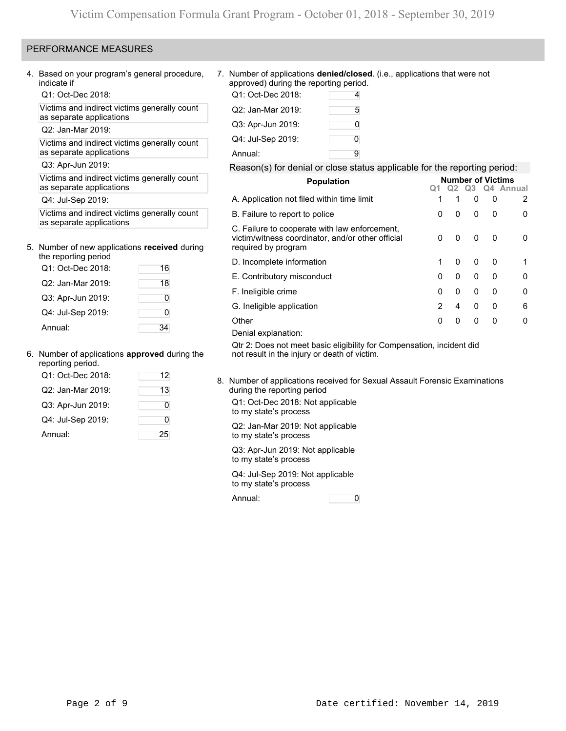### PERFORMANCE MEASURES

4. Based on your program's general procedure, indicate if

Q1: Oct-Dec 2018: Q1: Oct-Dec 2018: 4

Victims and indirect victims generally count as separate applications

Q2: Jan-Mar 2019:

Victims and indirect victims generally count as separate applications

Q3: Apr-Jun 2019:

Victims and indirect victims generally count as separate applications

Q4: Jul-Sep 2019:

Victims and indirect victims generally count as separate applications

### 5. Number of new applications **received** during

| the reporting period |    |
|----------------------|----|
| Q1: Oct-Dec 2018:    | 16 |
| Q2: Jan-Mar 2019:    | 18 |
| Q3: Apr-Jun 2019:    | 0  |
| Q4: Jul-Sep 2019:    | Ω  |
| Annual:              |    |

### 6. Number of applications **approved** during the reporting period.

| eporting period.  |    |
|-------------------|----|
| Q1: Oct-Dec 2018: | 12 |
| Q2: Jan-Mar 2019: | 13 |
| Q3: Apr-Jun 2019: | O  |
| Q4: Jul-Sep 2019: | 0  |
| Annual:           | 25 |

7. Number of applications **denied/closed**. (i.e., applications that were not approved) during the reporting period.

| Q1: Oct-Dec 2018: | 4 |
|-------------------|---|
| Q2: Jan-Mar 2019: | 5 |
| Q3: Apr-Jun 2019: | 0 |
| Q4: Jul-Sep 2019: | 0 |
| Annual:           | g |

### Reason(s) for denial or close status applicable for the reporting period:

| <b>Population</b>                                                                                                         |   | <b>Number of Victims</b> |   |   |              |  |  |  |  |  |
|---------------------------------------------------------------------------------------------------------------------------|---|--------------------------|---|---|--------------|--|--|--|--|--|
|                                                                                                                           |   | Q2                       |   |   | Q3 Q4 Annual |  |  |  |  |  |
| A. Application not filed within time limit                                                                                | 1 | 1                        | 0 | 0 | 2            |  |  |  |  |  |
| B. Failure to report to police                                                                                            | 0 | <sup>0</sup>             | 0 | 0 | 0            |  |  |  |  |  |
| C. Failure to cooperate with law enforcement,<br>victim/witness coordinator, and/or other official<br>required by program | 0 | 0                        | 0 | 0 | 0            |  |  |  |  |  |
| D. Incomplete information                                                                                                 | 1 | 0                        | 0 | 0 | 1            |  |  |  |  |  |
| E. Contributory misconduct                                                                                                | 0 | 0                        | 0 | 0 | 0            |  |  |  |  |  |
| F. Ineligible crime                                                                                                       | 0 | 0                        | 0 | 0 | 0            |  |  |  |  |  |
| G. Ineligible application                                                                                                 | 2 | 4                        | 0 | 0 | 6            |  |  |  |  |  |
| Other                                                                                                                     | 0 | 0                        | 0 | 0 | 0            |  |  |  |  |  |
| Denial explanation:                                                                                                       |   |                          |   |   |              |  |  |  |  |  |
| Ots 0: Deep not meat begin alimibility for Companyation, insidert did                                                     |   |                          |   |   |              |  |  |  |  |  |

Qtr 2: Does not meet basic eligibility for Compensation, incident did not result in the injury or death of victim.

8. Number of applications received for Sexual Assault Forensic Examinations during the reporting period

Q1: Oct-Dec 2018: Not applicable to my state's process

Q2: Jan-Mar 2019: Not applicable to my state's process

Q3: Apr-Jun 2019: Not applicable to my state's process

Q4: Jul-Sep 2019: Not applicable to my state's process

Annual: 0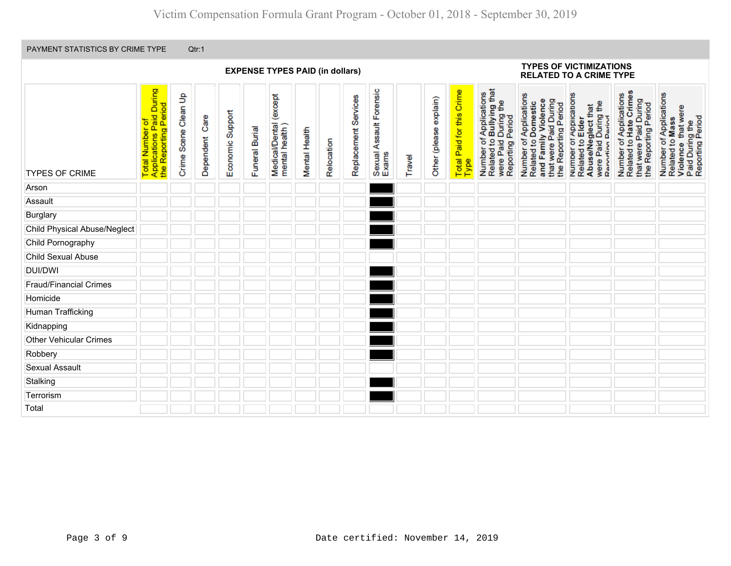|                                     |                                                                     |                      |                |                  |                | <b>EXPENSE TYPES PAID (in dollars)</b>    |               |            |                      |                                  |        |                        |                                   |                                                                                                | <b>TYPES OF VICTIMIZATIONS</b><br><b>RELATED TO A CRIME TYPE</b>                                                      |                                                                                                              |                                                                                                   |                                                                                                        |
|-------------------------------------|---------------------------------------------------------------------|----------------------|----------------|------------------|----------------|-------------------------------------------|---------------|------------|----------------------|----------------------------------|--------|------------------------|-----------------------------------|------------------------------------------------------------------------------------------------|-----------------------------------------------------------------------------------------------------------------------|--------------------------------------------------------------------------------------------------------------|---------------------------------------------------------------------------------------------------|--------------------------------------------------------------------------------------------------------|
| <b>TYPES OF CRIME</b>               | Total Number of<br>Applications Paid During<br>the Reporting Period | Crime Scene Clean Up | Dependent Care | Economic Support | Funeral Burial | Medical/Dental (except<br>mental health ) | Mental Health | Relocation | Replacement Services | Sexual Assault Forensic<br>Exams | Travel | Other (please explain) | Total Paid for this Crime<br>Type | Number of Applications<br>Related to Bullying that<br>were Paid During the<br>Reporting Period | Number of Applications<br>Related to Domestic<br>and Family Violence<br>that were Paid During<br>the Reporting Period | Number or Applications<br>Related to Elder<br>Abuse/Neglect that<br>were Paid During the<br>Renorting Period | Number of Applications<br>Related to Hate Crimes<br>that were Paid During<br>the Reporting Period | Number of Applications<br>Related to Mass<br>Violence that were<br>Paid During the<br>Reporting Period |
| Arson                               |                                                                     |                      |                |                  |                |                                           |               |            |                      |                                  |        |                        |                                   |                                                                                                |                                                                                                                       |                                                                                                              |                                                                                                   |                                                                                                        |
| Assault                             |                                                                     |                      |                |                  |                |                                           |               |            |                      |                                  |        |                        |                                   |                                                                                                |                                                                                                                       |                                                                                                              |                                                                                                   |                                                                                                        |
| <b>Burglary</b>                     |                                                                     |                      |                |                  |                |                                           |               |            |                      |                                  |        |                        |                                   |                                                                                                |                                                                                                                       |                                                                                                              |                                                                                                   |                                                                                                        |
| <b>Child Physical Abuse/Neglect</b> |                                                                     |                      |                |                  |                |                                           |               |            |                      |                                  |        |                        |                                   |                                                                                                |                                                                                                                       |                                                                                                              |                                                                                                   |                                                                                                        |
| Child Pornography                   |                                                                     |                      |                |                  |                |                                           |               |            |                      |                                  |        |                        |                                   |                                                                                                |                                                                                                                       |                                                                                                              |                                                                                                   |                                                                                                        |
| Child Sexual Abuse                  |                                                                     |                      |                |                  |                |                                           |               |            |                      |                                  |        |                        |                                   |                                                                                                |                                                                                                                       |                                                                                                              |                                                                                                   |                                                                                                        |
| <b>DUI/DWI</b>                      |                                                                     |                      |                |                  |                |                                           |               |            |                      |                                  |        |                        |                                   |                                                                                                |                                                                                                                       |                                                                                                              |                                                                                                   |                                                                                                        |
| <b>Fraud/Financial Crimes</b>       |                                                                     |                      |                |                  |                |                                           |               |            |                      |                                  |        |                        |                                   |                                                                                                |                                                                                                                       |                                                                                                              |                                                                                                   |                                                                                                        |
| Homicide                            |                                                                     |                      |                |                  |                |                                           |               |            |                      |                                  |        |                        |                                   |                                                                                                |                                                                                                                       |                                                                                                              |                                                                                                   |                                                                                                        |
| Human Trafficking                   |                                                                     |                      |                |                  |                |                                           |               |            |                      |                                  |        |                        |                                   |                                                                                                |                                                                                                                       |                                                                                                              |                                                                                                   |                                                                                                        |
| Kidnapping                          |                                                                     |                      |                |                  |                |                                           |               |            |                      |                                  |        |                        |                                   |                                                                                                |                                                                                                                       |                                                                                                              |                                                                                                   |                                                                                                        |
| <b>Other Vehicular Crimes</b>       |                                                                     |                      |                |                  |                |                                           |               |            |                      |                                  |        |                        |                                   |                                                                                                |                                                                                                                       |                                                                                                              |                                                                                                   |                                                                                                        |
| Robbery                             |                                                                     |                      |                |                  |                |                                           |               |            |                      |                                  |        |                        |                                   |                                                                                                |                                                                                                                       |                                                                                                              |                                                                                                   |                                                                                                        |
| <b>Sexual Assault</b>               |                                                                     |                      |                |                  |                |                                           |               |            |                      |                                  |        |                        |                                   |                                                                                                |                                                                                                                       |                                                                                                              |                                                                                                   |                                                                                                        |
| Stalking                            |                                                                     |                      |                |                  |                |                                           |               |            |                      |                                  |        |                        |                                   |                                                                                                |                                                                                                                       |                                                                                                              |                                                                                                   |                                                                                                        |
| Terrorism                           |                                                                     |                      |                |                  |                |                                           |               |            |                      |                                  |        |                        |                                   |                                                                                                |                                                                                                                       |                                                                                                              |                                                                                                   |                                                                                                        |
| Total                               |                                                                     |                      |                |                  |                |                                           |               |            |                      |                                  |        |                        |                                   |                                                                                                |                                                                                                                       |                                                                                                              |                                                                                                   |                                                                                                        |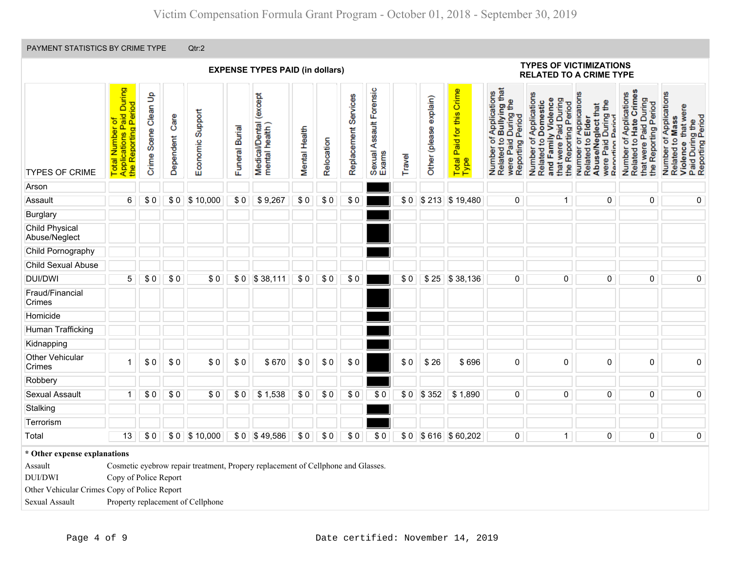|                                                                                                                                                                                         |                                                                     |                      |                   |                                                                                                                       |                | <b>EXPENSE TYPES PAID (in dollars)</b>        |               |            |                      |                                       |        |                        |                                      |                                                                                                | <b>TYPES OF VICTIMIZATIONS</b><br><b>RELATED TO A CRIME TYPE</b>                                                         |                                                                                                              |                                                                                                   |                                                                                                        |
|-----------------------------------------------------------------------------------------------------------------------------------------------------------------------------------------|---------------------------------------------------------------------|----------------------|-------------------|-----------------------------------------------------------------------------------------------------------------------|----------------|-----------------------------------------------|---------------|------------|----------------------|---------------------------------------|--------|------------------------|--------------------------------------|------------------------------------------------------------------------------------------------|--------------------------------------------------------------------------------------------------------------------------|--------------------------------------------------------------------------------------------------------------|---------------------------------------------------------------------------------------------------|--------------------------------------------------------------------------------------------------------|
| <b>TYPES OF CRIME</b>                                                                                                                                                                   | Applications Paid During<br>the Reporting Period<br>Total Number of | Crime Scene Clean Up | Care<br>Dependent | Economic Support                                                                                                      | Funeral Burial | except)<br>Medical/Dental (<br>mental health) | Mental Health | Relocation | Replacement Services | Forensic<br>Sexual Assault F<br>Exams | Travel | Other (please explain) | Paid for this Crime<br>Total<br>Type | Number of Applications<br>Related to Bullying that<br>were Paid During the<br>Reporting Period | Number of Applications<br>and Family Violence<br>Paid During<br>Related to Domestic<br>the Reporting Period<br>that were | Number of Applications<br>were Paid During the<br>Abuse/Neglect that<br>Reporting Period<br>Related to Elder | Related to Hate Crimes<br>Number of Applications<br>that were Paid During<br>the Reporting Period | Number of Applications<br>Violence that were<br>Paid During the<br>Reporting Period<br>Related to Mass |
| Arson                                                                                                                                                                                   |                                                                     |                      |                   |                                                                                                                       |                |                                               |               |            |                      |                                       |        |                        |                                      |                                                                                                |                                                                                                                          |                                                                                                              |                                                                                                   |                                                                                                        |
| $6\overline{6}$<br>\$10,000<br>\$0<br>\$0<br>\$0<br>\$0<br>\$0 \$213 \$19,480<br>$\overline{0}$<br>Assault<br>\$0<br>\$0<br>\$9,267<br>$\overline{0}$<br>$\overline{0}$<br>$\mathbf{1}$ |                                                                     |                      |                   |                                                                                                                       |                |                                               |               |            |                      |                                       |        |                        |                                      |                                                                                                | $\overline{\textbf{0}}$                                                                                                  |                                                                                                              |                                                                                                   |                                                                                                        |
| Burglary                                                                                                                                                                                |                                                                     |                      |                   |                                                                                                                       |                |                                               |               |            |                      |                                       |        |                        |                                      |                                                                                                |                                                                                                                          |                                                                                                              |                                                                                                   |                                                                                                        |
| Child Physical<br>Abuse/Neglect                                                                                                                                                         |                                                                     |                      |                   |                                                                                                                       |                |                                               |               |            |                      |                                       |        |                        |                                      |                                                                                                |                                                                                                                          |                                                                                                              |                                                                                                   |                                                                                                        |
| Child Pornography                                                                                                                                                                       |                                                                     |                      |                   |                                                                                                                       |                |                                               |               |            |                      |                                       |        |                        |                                      |                                                                                                |                                                                                                                          |                                                                                                              |                                                                                                   |                                                                                                        |
| Child Sexual Abuse                                                                                                                                                                      |                                                                     |                      |                   |                                                                                                                       |                |                                               |               |            |                      |                                       |        |                        |                                      |                                                                                                |                                                                                                                          |                                                                                                              |                                                                                                   |                                                                                                        |
| <b>DUI/DWI</b>                                                                                                                                                                          | $\overline{5}$                                                      | \$0                  | \$0               | \$0                                                                                                                   | \$0            | \$38,111                                      | \$0           | \$0        | \$0                  |                                       | \$0    |                        | \$25 \$38,136                        | $\overline{0}$                                                                                 | $\overline{0}$                                                                                                           | $\overline{0}$                                                                                               | $\overline{0}$                                                                                    | $\overline{0}$                                                                                         |
| Fraud/Financial<br>Crimes                                                                                                                                                               |                                                                     |                      |                   |                                                                                                                       |                |                                               |               |            |                      |                                       |        |                        |                                      |                                                                                                |                                                                                                                          |                                                                                                              |                                                                                                   |                                                                                                        |
| Homicide                                                                                                                                                                                |                                                                     |                      |                   |                                                                                                                       |                |                                               |               |            |                      |                                       |        |                        |                                      |                                                                                                |                                                                                                                          |                                                                                                              |                                                                                                   |                                                                                                        |
| Human Trafficking                                                                                                                                                                       |                                                                     |                      |                   |                                                                                                                       |                |                                               |               |            |                      |                                       |        |                        |                                      |                                                                                                |                                                                                                                          |                                                                                                              |                                                                                                   |                                                                                                        |
| Kidnapping                                                                                                                                                                              |                                                                     |                      |                   |                                                                                                                       |                |                                               |               |            |                      |                                       |        |                        |                                      |                                                                                                |                                                                                                                          |                                                                                                              |                                                                                                   |                                                                                                        |
| Other Vehicular<br>Crimes                                                                                                                                                               | 1                                                                   | \$0                  | \$0               | \$0                                                                                                                   | \$0            | \$670                                         | \$0           | \$0        | $\$0$                |                                       | \$0    | \$26                   | \$696                                | $\pmb{0}$                                                                                      | $\pmb{0}$                                                                                                                | $\pmb{0}$                                                                                                    | 0                                                                                                 | $\pmb{0}$                                                                                              |
| Robbery                                                                                                                                                                                 |                                                                     |                      |                   |                                                                                                                       |                |                                               |               |            |                      |                                       |        |                        |                                      |                                                                                                |                                                                                                                          |                                                                                                              |                                                                                                   |                                                                                                        |
| <b>Sexual Assault</b>                                                                                                                                                                   | $\mathbf{1}$                                                        | \$0                  | \$0               | \$0                                                                                                                   | \$0            | \$1,538                                       | \$0           | \$0        | \$0                  | \$0                                   |        | $$0$ $$352$            | \$1,890                              | 0                                                                                              | 0                                                                                                                        | $\overline{0}$                                                                                               | 0                                                                                                 | $\pmb{0}$                                                                                              |
| Stalking                                                                                                                                                                                |                                                                     |                      |                   |                                                                                                                       |                |                                               |               |            |                      |                                       |        |                        |                                      |                                                                                                |                                                                                                                          |                                                                                                              |                                                                                                   |                                                                                                        |
| Terrorism                                                                                                                                                                               |                                                                     |                      |                   |                                                                                                                       |                |                                               |               |            |                      |                                       |        |                        |                                      |                                                                                                |                                                                                                                          |                                                                                                              |                                                                                                   |                                                                                                        |
| Total                                                                                                                                                                                   | 13                                                                  | \$0                  |                   | \$0 \$10,000                                                                                                          |                | \$ 0 \$49,586                                 | \$0           | \$0        | \$0                  | \$0                                   |        |                        | \$0 \$616 \$60,202                   | $\overline{0}$                                                                                 | $\mathbf{1}$                                                                                                             | $\overline{0}$                                                                                               | $\overline{0}$                                                                                    | $\overline{0}$                                                                                         |
| * Other expense explanations<br>Assault<br><b>DUI/DWI</b><br>Other Vehicular Crimes Copy of Police Report<br>Sexual Assault                                                             | Copy of Police Report                                               |                      |                   | Cosmetic eyebrow repair treatment, Propery replacement of Cellphone and Glasses.<br>Property replacement of Cellphone |                |                                               |               |            |                      |                                       |        |                        |                                      |                                                                                                |                                                                                                                          |                                                                                                              |                                                                                                   |                                                                                                        |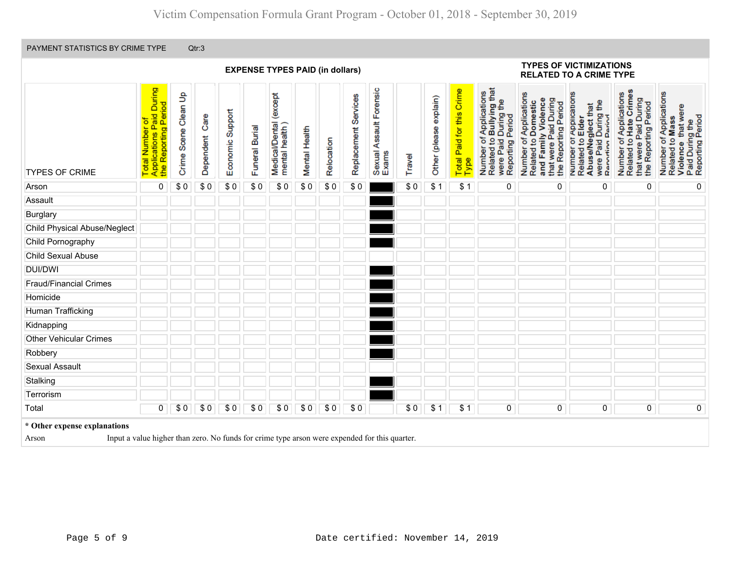|                                                                                                                                        |                                                                     |                      |                |                  |                | <b>EXPENSE TYPES PAID (in dollars)</b>   |               |            |                         |                                       |        |                        |                                   |                                                                                                |                                                                                                                       | <b>TYPES OF VICTIMIZATIONS</b><br><b>RELATED TO A CRIME TYPE</b>                                             |                                                                                                     |                                                                                                                      |  |
|----------------------------------------------------------------------------------------------------------------------------------------|---------------------------------------------------------------------|----------------------|----------------|------------------|----------------|------------------------------------------|---------------|------------|-------------------------|---------------------------------------|--------|------------------------|-----------------------------------|------------------------------------------------------------------------------------------------|-----------------------------------------------------------------------------------------------------------------------|--------------------------------------------------------------------------------------------------------------|-----------------------------------------------------------------------------------------------------|----------------------------------------------------------------------------------------------------------------------|--|
| <b>TYPES OF CRIME</b>                                                                                                                  | Total Number of<br>Applications Paid During<br>the Reporting Period | Crime Scene Clean Up | Dependent Care | Economic Support | Funeral Burial | Medical/Dental (except<br>mental health) | Mental Health | Relocation | Services<br>Replacement | Forensic<br>Sexual Assault F<br>Exams | Travel | Other (please explain) | Total Paid for this Crime<br>Type | Number of Applications<br>Related to Bullying that<br>were Paid During the<br>Reporting Period | Number of Applications<br>and Family Violence<br>that were Paid During<br>Related to Domestic<br>the Reporting Period | Number of Applications<br>Related to Elder<br>Abuse/Neglect that<br>were Paid During the<br>Renorting Period | of Applications<br>Related to Hate Crime<br>that were Paid During<br>the Reporting Period<br>Number | Number of Applications<br>Related to Mass<br>that were<br>Paid During the<br>Reporting Period<br>to Mass<br>Violence |  |
| \$0<br>\$0<br>0<br>\$0<br>\$0<br>\$0<br>\$0<br>\$0<br>\$0<br>\$0<br>\$1<br>\$1<br>0<br>0<br>Arson                                      |                                                                     |                      |                |                  |                |                                          |               |            |                         |                                       |        |                        |                                   |                                                                                                | 0                                                                                                                     | 0                                                                                                            | 0                                                                                                   |                                                                                                                      |  |
| Assault                                                                                                                                |                                                                     |                      |                |                  |                |                                          |               |            |                         |                                       |        |                        |                                   |                                                                                                |                                                                                                                       |                                                                                                              |                                                                                                     |                                                                                                                      |  |
| Burglary                                                                                                                               |                                                                     |                      |                |                  |                |                                          |               |            |                         |                                       |        |                        |                                   |                                                                                                |                                                                                                                       |                                                                                                              |                                                                                                     |                                                                                                                      |  |
| <b>Child Physical Abuse/Neglect</b>                                                                                                    |                                                                     |                      |                |                  |                |                                          |               |            |                         |                                       |        |                        |                                   |                                                                                                |                                                                                                                       |                                                                                                              |                                                                                                     |                                                                                                                      |  |
| Child Pornography                                                                                                                      |                                                                     |                      |                |                  |                |                                          |               |            |                         |                                       |        |                        |                                   |                                                                                                |                                                                                                                       |                                                                                                              |                                                                                                     |                                                                                                                      |  |
| Child Sexual Abuse                                                                                                                     |                                                                     |                      |                |                  |                |                                          |               |            |                         |                                       |        |                        |                                   |                                                                                                |                                                                                                                       |                                                                                                              |                                                                                                     |                                                                                                                      |  |
| <b>DUI/DWI</b>                                                                                                                         |                                                                     |                      |                |                  |                |                                          |               |            |                         |                                       |        |                        |                                   |                                                                                                |                                                                                                                       |                                                                                                              |                                                                                                     |                                                                                                                      |  |
| <b>Fraud/Financial Crimes</b>                                                                                                          |                                                                     |                      |                |                  |                |                                          |               |            |                         |                                       |        |                        |                                   |                                                                                                |                                                                                                                       |                                                                                                              |                                                                                                     |                                                                                                                      |  |
| Homicide                                                                                                                               |                                                                     |                      |                |                  |                |                                          |               |            |                         |                                       |        |                        |                                   |                                                                                                |                                                                                                                       |                                                                                                              |                                                                                                     |                                                                                                                      |  |
| Human Trafficking                                                                                                                      |                                                                     |                      |                |                  |                |                                          |               |            |                         |                                       |        |                        |                                   |                                                                                                |                                                                                                                       |                                                                                                              |                                                                                                     |                                                                                                                      |  |
| Kidnapping                                                                                                                             |                                                                     |                      |                |                  |                |                                          |               |            |                         |                                       |        |                        |                                   |                                                                                                |                                                                                                                       |                                                                                                              |                                                                                                     |                                                                                                                      |  |
| <b>Other Vehicular Crimes</b>                                                                                                          |                                                                     |                      |                |                  |                |                                          |               |            |                         |                                       |        |                        |                                   |                                                                                                |                                                                                                                       |                                                                                                              |                                                                                                     |                                                                                                                      |  |
| Robbery                                                                                                                                |                                                                     |                      |                |                  |                |                                          |               |            |                         |                                       |        |                        |                                   |                                                                                                |                                                                                                                       |                                                                                                              |                                                                                                     |                                                                                                                      |  |
| <b>Sexual Assault</b>                                                                                                                  |                                                                     |                      |                |                  |                |                                          |               |            |                         |                                       |        |                        |                                   |                                                                                                |                                                                                                                       |                                                                                                              |                                                                                                     |                                                                                                                      |  |
| Stalking                                                                                                                               |                                                                     |                      |                |                  |                |                                          |               |            |                         |                                       |        |                        |                                   |                                                                                                |                                                                                                                       |                                                                                                              |                                                                                                     |                                                                                                                      |  |
| Terrorism                                                                                                                              |                                                                     |                      |                |                  |                |                                          |               |            |                         |                                       |        |                        |                                   |                                                                                                |                                                                                                                       |                                                                                                              |                                                                                                     |                                                                                                                      |  |
| Total                                                                                                                                  | 0                                                                   | \$0                  | \$0            | \$0              | \$0            | \$0                                      | \$0           | \$0        | \$0                     |                                       | \$0    | \$1                    | \$1                               | 0                                                                                              | $\overline{0}$                                                                                                        | $\overline{\text{o}}$                                                                                        | $\overline{\text{o}}$                                                                               | $\overline{0}$                                                                                                       |  |
| * Other expense explanations<br>Input a value higher than zero. No funds for crime type arson were expended for this quarter.<br>Arson |                                                                     |                      |                |                  |                |                                          |               |            |                         |                                       |        |                        |                                   |                                                                                                |                                                                                                                       |                                                                                                              |                                                                                                     |                                                                                                                      |  |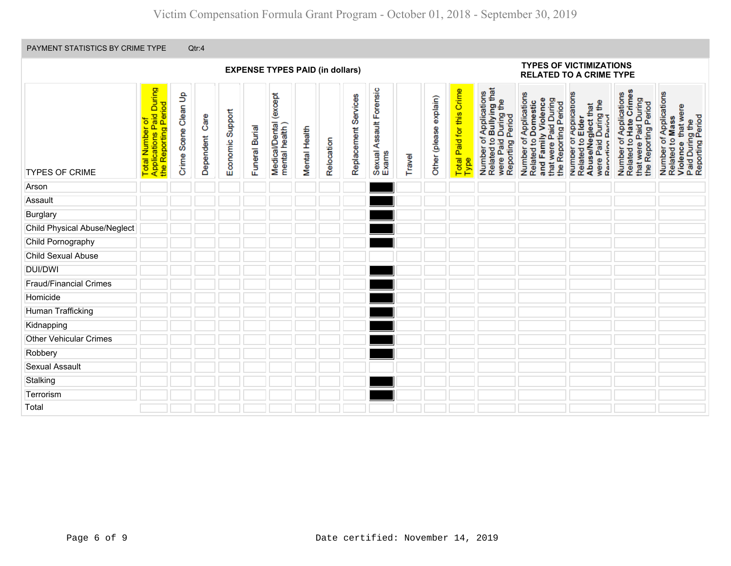|                               |                                                                     |                      |                |                  |                | <b>EXPENSE TYPES PAID (in dollars)</b>    |               |            |                      |                                  |        |                        |                                          |                                                                                                | <b>TYPES OF VICTIMIZATIONS</b><br><b>RELATED TO A CRIME TYPE</b>                                                      |                                                                                                             |                                                                                                   |                                                                                                        |
|-------------------------------|---------------------------------------------------------------------|----------------------|----------------|------------------|----------------|-------------------------------------------|---------------|------------|----------------------|----------------------------------|--------|------------------------|------------------------------------------|------------------------------------------------------------------------------------------------|-----------------------------------------------------------------------------------------------------------------------|-------------------------------------------------------------------------------------------------------------|---------------------------------------------------------------------------------------------------|--------------------------------------------------------------------------------------------------------|
| <b>TYPES OF CRIME</b>         | Total Number of<br>Applications Paid During<br>the Reporting Period | Crime Scene Clean Up | Dependent Care | Economic Support | Funeral Burial | Medical/Dental (except<br>mental health ) | Mental Health | Relocation | Replacement Services | Sexual Assault Forensic<br>Exams | Travel | Other (please explain) | <b>Total Paid for this Crime</b><br>Type | Number of Applications<br>Related to Bullying that<br>were Paid During the<br>Reporting Period | Number of Applications<br>Related to Domestic<br>and Family Violence<br>that were Paid During<br>the Reporting Period | Number of Applications<br>Related to Elder<br>AbuseMeglect that<br>were Paid During the<br>Renorting Period | Number of Applications<br>Related to Hate Crimes<br>that were Paid During<br>the Reporting Period | Number of Applications<br>Related to Mass<br>Violence that were<br>Paid During the<br>Reporting Period |
| Arson                         |                                                                     |                      |                |                  |                |                                           |               |            |                      |                                  |        |                        |                                          |                                                                                                |                                                                                                                       |                                                                                                             |                                                                                                   |                                                                                                        |
| Assault                       |                                                                     |                      |                |                  |                |                                           |               |            |                      |                                  |        |                        |                                          |                                                                                                |                                                                                                                       |                                                                                                             |                                                                                                   |                                                                                                        |
| Burglary                      |                                                                     |                      |                |                  |                |                                           |               |            |                      |                                  |        |                        |                                          |                                                                                                |                                                                                                                       |                                                                                                             |                                                                                                   |                                                                                                        |
| Child Physical Abuse/Neglect  |                                                                     |                      |                |                  |                |                                           |               |            |                      |                                  |        |                        |                                          |                                                                                                |                                                                                                                       |                                                                                                             |                                                                                                   |                                                                                                        |
| Child Pornography             |                                                                     |                      |                |                  |                |                                           |               |            |                      |                                  |        |                        |                                          |                                                                                                |                                                                                                                       |                                                                                                             |                                                                                                   |                                                                                                        |
| Child Sexual Abuse            |                                                                     |                      |                |                  |                |                                           |               |            |                      |                                  |        |                        |                                          |                                                                                                |                                                                                                                       |                                                                                                             |                                                                                                   |                                                                                                        |
| <b>DUI/DWI</b>                |                                                                     |                      |                |                  |                |                                           |               |            |                      |                                  |        |                        |                                          |                                                                                                |                                                                                                                       |                                                                                                             |                                                                                                   |                                                                                                        |
| <b>Fraud/Financial Crimes</b> |                                                                     |                      |                |                  |                |                                           |               |            |                      |                                  |        |                        |                                          |                                                                                                |                                                                                                                       |                                                                                                             |                                                                                                   |                                                                                                        |
| Homicide                      |                                                                     |                      |                |                  |                |                                           |               |            |                      |                                  |        |                        |                                          |                                                                                                |                                                                                                                       |                                                                                                             |                                                                                                   |                                                                                                        |
| Human Trafficking             |                                                                     |                      |                |                  |                |                                           |               |            |                      |                                  |        |                        |                                          |                                                                                                |                                                                                                                       |                                                                                                             |                                                                                                   |                                                                                                        |
| Kidnapping                    |                                                                     |                      |                |                  |                |                                           |               |            |                      |                                  |        |                        |                                          |                                                                                                |                                                                                                                       |                                                                                                             |                                                                                                   |                                                                                                        |
| <b>Other Vehicular Crimes</b> |                                                                     |                      |                |                  |                |                                           |               |            |                      |                                  |        |                        |                                          |                                                                                                |                                                                                                                       |                                                                                                             |                                                                                                   |                                                                                                        |
| Robbery                       |                                                                     |                      |                |                  |                |                                           |               |            |                      |                                  |        |                        |                                          |                                                                                                |                                                                                                                       |                                                                                                             |                                                                                                   |                                                                                                        |
| <b>Sexual Assault</b>         |                                                                     |                      |                |                  |                |                                           |               |            |                      |                                  |        |                        |                                          |                                                                                                |                                                                                                                       |                                                                                                             |                                                                                                   |                                                                                                        |
| Stalking                      |                                                                     |                      |                |                  |                |                                           |               |            |                      |                                  |        |                        |                                          |                                                                                                |                                                                                                                       |                                                                                                             |                                                                                                   |                                                                                                        |
| Terrorism                     |                                                                     |                      |                |                  |                |                                           |               |            |                      |                                  |        |                        |                                          |                                                                                                |                                                                                                                       |                                                                                                             |                                                                                                   |                                                                                                        |
| Total                         |                                                                     |                      |                |                  |                |                                           |               |            |                      |                                  |        |                        |                                          |                                                                                                |                                                                                                                       |                                                                                                             |                                                                                                   |                                                                                                        |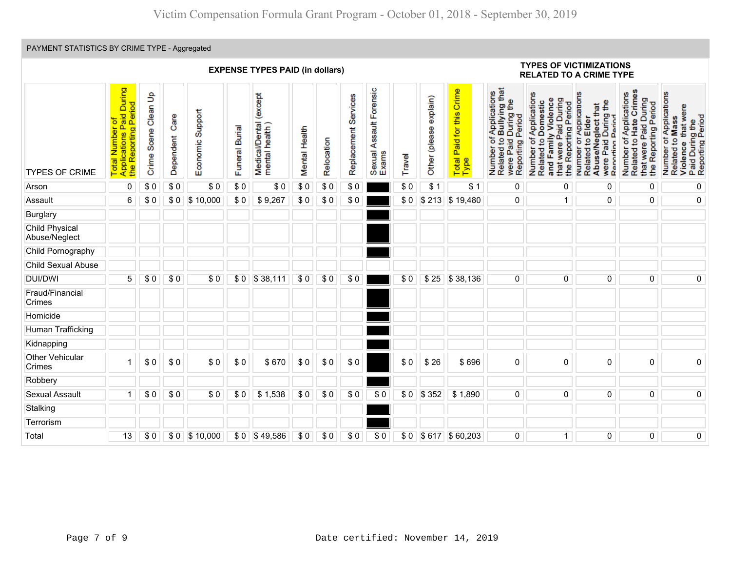# PAYMENT STATISTICS BY CRIME TYPE - Aggregated

|                                 | <b>EXPENSE TYPES PAID (in dollars)</b>                                     |                      |                   |                  |                |                                              |               |            |                      |                                  |        |                        |                                   |                                                                                                                                   | <b>TYPES OF VICTIMIZATIONS</b><br><b>RELATED TO A CRIME TYPE</b>                                                         |                                                                                                               |                                                                                                                                 |                                                                                                                       |  |
|---------------------------------|----------------------------------------------------------------------------|----------------------|-------------------|------------------|----------------|----------------------------------------------|---------------|------------|----------------------|----------------------------------|--------|------------------------|-----------------------------------|-----------------------------------------------------------------------------------------------------------------------------------|--------------------------------------------------------------------------------------------------------------------------|---------------------------------------------------------------------------------------------------------------|---------------------------------------------------------------------------------------------------------------------------------|-----------------------------------------------------------------------------------------------------------------------|--|
| <b>TYPES OF CRIME</b>           | Applications Paid During<br>the Reporting Period<br>Total Number of<br>the | Crime Scene Clean Up | Care<br>Dependent | Economic Support | Funeral Burial | except<br>Medical/Dental (<br>mental health) | Mental Health | Relocation | Replacement Services | Sexual Assault Forensic<br>Exams | Travel | Other (please explain) | Total Paid for this Crime<br>Type | f Applications<br><b>Bullying</b> that<br>During the<br>Reporting Period<br>۴<br>$\overline{5}$<br>were Paid<br>Number<br>Related | Number of Applications<br>were Paid During<br>and Family Violence<br>Related to Domestic<br>the Reporting Period<br>that | Number of Applications<br>Related to Elder<br>£<br>Abuse/Neglect that<br>were Paid During<br>Reporting Period | of Applications<br>Crimes<br>Paid During<br>the Reporting Period<br>Hate<br>g<br>were<br>Number<br>Related <sup>1</sup><br>that | of Applications<br>that were<br>Violence that wer<br>Paid During the<br>Reporting Period<br>Related to Mass<br>Number |  |
| Arson                           | $\overline{0}$                                                             | \$0                  | \$0               | \$0              | \$0            | \$0                                          | $\sqrt{ }$    | \$0        | \$0                  |                                  | \$0    | \$1                    | \$1                               | 0                                                                                                                                 | 0                                                                                                                        | 0                                                                                                             | 0                                                                                                                               | 0                                                                                                                     |  |
| Assault                         | 6                                                                          | \$0                  | \$0               | \$10,000         | \$0            | \$9,267                                      | \$0           | \$0        | \$0                  |                                  | \$0    |                        | \$213 \$19,480                    | $\overline{0}$                                                                                                                    | $\mathbf{1}$                                                                                                             | $\overline{0}$                                                                                                | 0                                                                                                                               | $\overline{0}$                                                                                                        |  |
| <b>Burglary</b>                 |                                                                            |                      |                   |                  |                |                                              |               |            |                      |                                  |        |                        |                                   |                                                                                                                                   |                                                                                                                          |                                                                                                               |                                                                                                                                 |                                                                                                                       |  |
| Child Physical<br>Abuse/Neglect |                                                                            |                      |                   |                  |                |                                              |               |            |                      |                                  |        |                        |                                   |                                                                                                                                   |                                                                                                                          |                                                                                                               |                                                                                                                                 |                                                                                                                       |  |
| Child Pornography               |                                                                            |                      |                   |                  |                |                                              |               |            |                      |                                  |        |                        |                                   |                                                                                                                                   |                                                                                                                          |                                                                                                               |                                                                                                                                 |                                                                                                                       |  |
| Child Sexual Abuse              |                                                                            |                      |                   |                  |                |                                              |               |            |                      |                                  |        |                        |                                   |                                                                                                                                   |                                                                                                                          |                                                                                                               |                                                                                                                                 |                                                                                                                       |  |
| <b>DUI/DWI</b>                  | 5                                                                          | \$0                  | \$0               | \$0              |                | \$0 \$38,111                                 | \$0           | \$0        | \$0                  |                                  | \$0    | \$25                   | \$38,136                          | 0                                                                                                                                 | $\mathbf 0$                                                                                                              | 0                                                                                                             | $\mathbf 0$                                                                                                                     | $\overline{0}$                                                                                                        |  |
| Fraud/Financial<br>Crimes       |                                                                            |                      |                   |                  |                |                                              |               |            |                      |                                  |        |                        |                                   |                                                                                                                                   |                                                                                                                          |                                                                                                               |                                                                                                                                 |                                                                                                                       |  |
| Homicide                        |                                                                            |                      |                   |                  |                |                                              |               |            |                      |                                  |        |                        |                                   |                                                                                                                                   |                                                                                                                          |                                                                                                               |                                                                                                                                 |                                                                                                                       |  |
| Human Trafficking               |                                                                            |                      |                   |                  |                |                                              |               |            |                      |                                  |        |                        |                                   |                                                                                                                                   |                                                                                                                          |                                                                                                               |                                                                                                                                 |                                                                                                                       |  |
| Kidnapping                      |                                                                            |                      |                   |                  |                |                                              |               |            |                      |                                  |        |                        |                                   |                                                                                                                                   |                                                                                                                          |                                                                                                               |                                                                                                                                 |                                                                                                                       |  |
| Other Vehicular<br>Crimes       | 1                                                                          | \$0                  | \$0               | \$0              | \$0            | \$670                                        | \$0           | \$0        | \$0                  |                                  | \$0    | \$26                   | \$696                             | 0                                                                                                                                 | $\mathbf 0$                                                                                                              | 0                                                                                                             | $\mathbf 0$                                                                                                                     | $\mathsf{O}\xspace$                                                                                                   |  |
| Robbery                         |                                                                            |                      |                   |                  |                |                                              |               |            |                      |                                  |        |                        |                                   |                                                                                                                                   |                                                                                                                          |                                                                                                               |                                                                                                                                 |                                                                                                                       |  |
| <b>Sexual Assault</b>           | $\mathbf 1$                                                                | \$0                  | \$0               | \$0              | \$0            | \$1,538                                      | \$0           | \$0        | \$0                  | \$0                              | \$0    | \$352                  | \$1,890                           | $\overline{\text{o}}$                                                                                                             | 0                                                                                                                        | $\pmb{0}$                                                                                                     | $\overline{0}$                                                                                                                  | $\overline{\text{o}}$                                                                                                 |  |
| Stalking                        |                                                                            |                      |                   |                  |                |                                              |               |            |                      |                                  |        |                        |                                   |                                                                                                                                   |                                                                                                                          |                                                                                                               |                                                                                                                                 |                                                                                                                       |  |
| Terrorism                       |                                                                            |                      |                   |                  |                |                                              |               |            |                      |                                  |        |                        |                                   |                                                                                                                                   |                                                                                                                          |                                                                                                               |                                                                                                                                 |                                                                                                                       |  |
| Total                           | 13                                                                         | \$0                  | \$0               | \$10,000         | \$0            | \$49,586                                     | \$0           | \$0        | \$0                  | \$0                              |        |                        | \$0 \$617 \$60,203                | 0                                                                                                                                 | $\mathbf{1}$                                                                                                             | $\pmb{0}$                                                                                                     | $\overline{0}$                                                                                                                  | $\pmb{0}$                                                                                                             |  |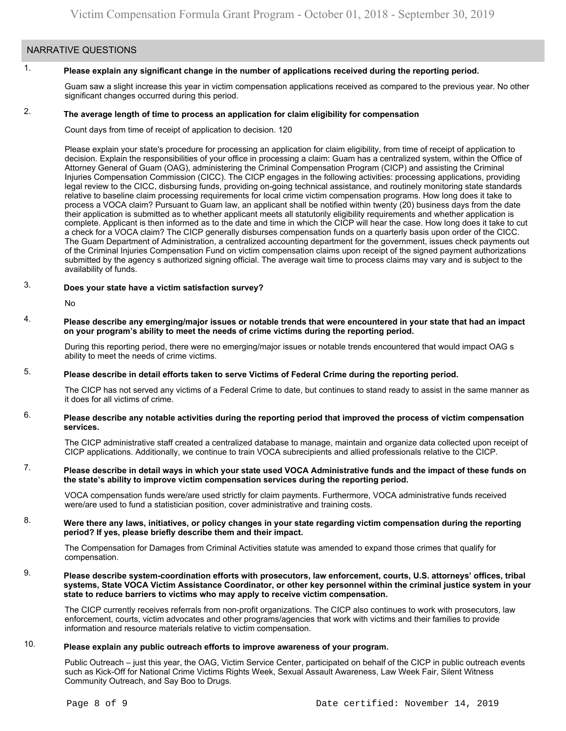### NARRATIVE QUESTIONS

#### 1. **Please explain any significant change in the number of applications received during the reporting period.**

Guam saw a slight increase this year in victim compensation applications received as compared to the previous year. No other significant changes occurred during this period.

#### 2. **The average length of time to process an application for claim eligibility for compensation**

Count days from time of receipt of application to decision. 120

Please explain your state's procedure for processing an application for claim eligibility, from time of receipt of application to decision. Explain the responsibilities of your office in processing a claim: Guam has a centralized system, within the Office of Attorney General of Guam (OAG), administering the Criminal Compensation Program (CICP) and assisting the Criminal Injuries Compensation Commission (CICC). The CICP engages in the following activities: processing applications, providing legal review to the CICC, disbursing funds, providing on-going technical assistance, and routinely monitoring state standards relative to baseline claim processing requirements for local crime victim compensation programs. How long does it take to process a VOCA claim? Pursuant to Guam law, an applicant shall be notified within twenty (20) business days from the date their application is submitted as to whether applicant meets all statutorily eligibility requirements and whether application is complete. Applicant is then informed as to the date and time in which the CICP will hear the case. How long does it take to cut a check for a VOCA claim? The CICP generally disburses compensation funds on a quarterly basis upon order of the CICC. The Guam Department of Administration, a centralized accounting department for the government, issues check payments out of the Criminal Injuries Compensation Fund on victim compensation claims upon receipt of the signed payment authorizations submitted by the agency s authorized signing official. The average wait time to process claims may vary and is subject to the availability of funds.

#### 3. **Does your state have a victim satisfaction survey?**

No

4. **Please describe any emerging/major issues or notable trends that were encountered in your state that had an impact on your program's ability to meet the needs of crime victims during the reporting period.**

During this reporting period, there were no emerging/major issues or notable trends encountered that would impact OAG s ability to meet the needs of crime victims.

#### 5. **Please describe in detail efforts taken to serve Victims of Federal Crime during the reporting period.**

The CICP has not served any victims of a Federal Crime to date, but continues to stand ready to assist in the same manner as it does for all victims of crime.

#### 6. **Please describe any notable activities during the reporting period that improved the process of victim compensation services.**

The CICP administrative staff created a centralized database to manage, maintain and organize data collected upon receipt of CICP applications. Additionally, we continue to train VOCA subrecipients and allied professionals relative to the CICP.

#### 7. **Please describe in detail ways in which your state used VOCA Administrative funds and the impact of these funds on the state's ability to improve victim compensation services during the reporting period.**

VOCA compensation funds were/are used strictly for claim payments. Furthermore, VOCA administrative funds received were/are used to fund a statistician position, cover administrative and training costs.

#### 8. **Were there any laws, initiatives, or policy changes in your state regarding victim compensation during the reporting period? If yes, please briefly describe them and their impact.**

The Compensation for Damages from Criminal Activities statute was amended to expand those crimes that qualify for compensation.

9. **Please describe system-coordination efforts with prosecutors, law enforcement, courts, U.S. attorneys' offices, tribal systems, State VOCA Victim Assistance Coordinator, or other key personnel within the criminal justice system in your state to reduce barriers to victims who may apply to receive victim compensation.**

The CICP currently receives referrals from non-profit organizations. The CICP also continues to work with prosecutors, law enforcement, courts, victim advocates and other programs/agencies that work with victims and their families to provide information and resource materials relative to victim compensation.

#### 10. **Please explain any public outreach efforts to improve awareness of your program.**

Public Outreach – just this year, the OAG, Victim Service Center, participated on behalf of the CICP in public outreach events such as Kick-Off for National Crime Victims Rights Week, Sexual Assault Awareness, Law Week Fair, Silent Witness Community Outreach, and Say Boo to Drugs.